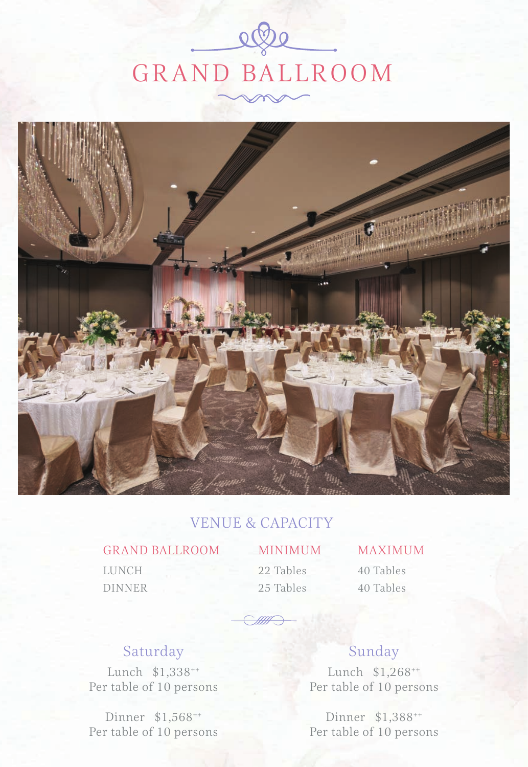# $\Omega$ GRAND BALLROOM



#### VENUE & CAPACITY

#### GRAND BALLROOM MINIMUM MAXIMUM

LUNCH DINNER

22 Tables 25 Tables 40 Tables

40 Tables

### Saturday

Lunch \$1,338++ Per table of 10 persons

Dinner \$1,568++ Per table of 10 persons

### Sunday

Lunch \$1,268++ Per table of 10 persons

Dinner \$1,388++ Per table of 10 persons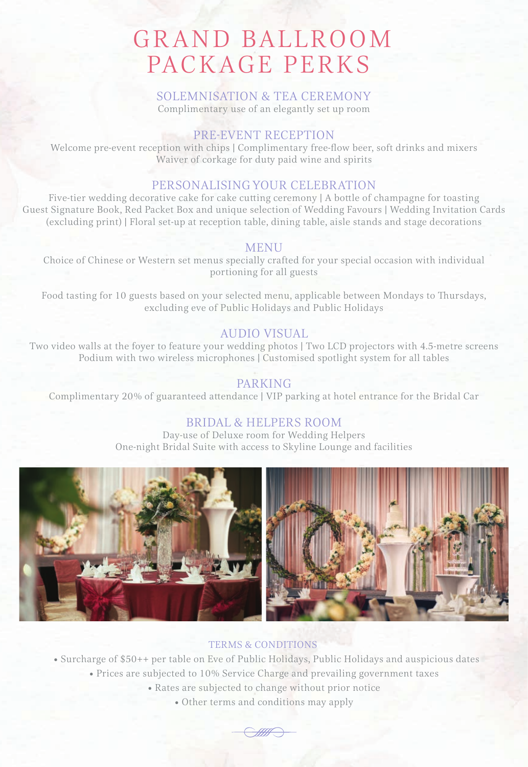### GRAND BALLROOM PACKAGE PERKS

#### SOLEMNISATION & TEA CEREMONY Complimentary use of an elegantly set up room

#### PRE-EVENT RECEPTION

Welcome pre-event reception with chips | Complimentary free-flow beer, soft drinks and mixers Waiver of corkage for duty paid wine and spirits

#### PERSONALISING YOUR CELEBRATION

Five-tier wedding decorative cake for cake cutting ceremony  $|A\>$  bottle of champagne for toasting Guest Signature Book, Red Packet Box and unique selection of Wedding Favours | Wedding Invitation Cards (excluding print) | Floral set-up at reception table, dining table, aisle stands and stage decorations

#### **MENU**

Choice of Chinese or Western set menus specially crafted for your special occasion with individual portioning for all guests

Food tasting for 10 guests based on your selected menu, applicable between Mondays to Thursdays, excluding eve of Public Holidays and Public Holidays

#### AUDIO VISUAL

Two video walls at the foyer to feature your wedding photos | Two LCD projectors with 4.5-metre screens Podium with two wireless microphones | Customised spotlight system for all tables

#### PARKING

Complimentary 20% of guaranteed attendance | VIP parking at hotel entrance for the Bridal Car

#### BRIDAL & HELPERS ROOM

Day-use of Deluxe room for Wedding Helpers One-night Bridal Suite with access to Skyline Lounge and facilities



#### TERMS & CONDITIONS

• Surcharge of \$50++ per table on Eve of Public Holidays, Public Holidays and auspicious dates

- Prices are subjected to 10% Service Charge and prevailing government taxes
	- Rates are subjected to change without prior notice
		- Other terms and conditions may apply

<u>San S</u>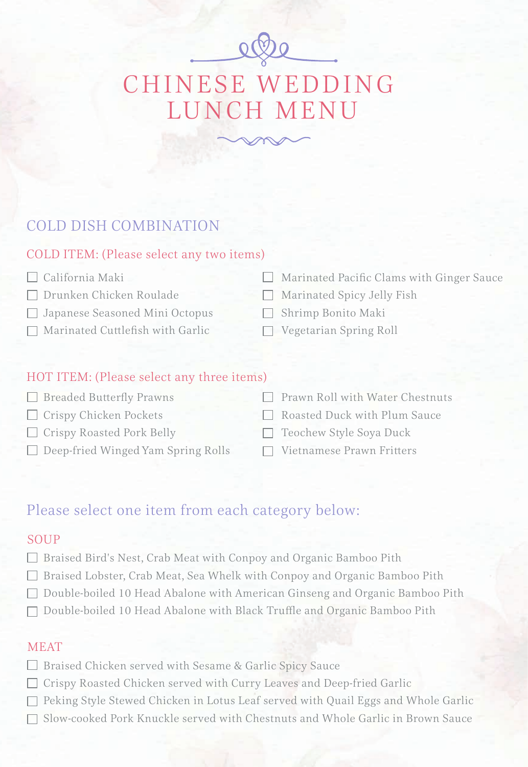# CHINESE WEDDING LUNCH MENU

#### COLD DISH COMBINATION

#### COLD ITEM: (Please select any two items)

- California Maki
- Drunken Chicken Roulade
- Japanese Seasoned Mini Octopus
- $\Box$  Marinated Cuttlefish with Garlic
- Marinated Pacific Clams with Ginger Sauce
- Marinated Spicy Jelly Fish
- Shrimp Bonito Maki
- Vegetarian Spring Roll

#### HOT ITEM: (Please select any three items)

 $\Box$  Breaded Butterfly Prawns Crispy Chicken Pockets Crispy Roasted Pork Belly  $\Box$  Deep-fried Winged Yam Spring Rolls Prawn Roll with Water Chestnuts Roasted Duck with Plum Sauce  $\Box$  Teochew Style Soya Duck  $\Box$  Vietnamese Prawn Fritters

#### Please select one item from each category below:

#### SOUP

- Braised Bird's Nest, Crab Meat with Conpoy and Organic Bamboo Pith
- Braised Lobster, Crab Meat, Sea Whelk with Conpoy and Organic Bamboo Pith
- Double-boiled 10 Head Abalone with American Ginseng and Organic Bamboo Pith
- $\Box$  Double-boiled 10 Head Abalone with Black Truffle and Organic Bamboo Pith

#### MEAT

- □ Braised Chicken served with Sesame & Garlic Spicy Sauce
- Crispy Roasted Chicken served with Curry Leaves and Deep-fried Garlic
- $\Box$  Peking Style Stewed Chicken in Lotus Leaf served with Quail Eggs and Whole Garlic
- Slow-cooked Pork Knuckle served with Chestnuts and Whole Garlic in Brown Sauce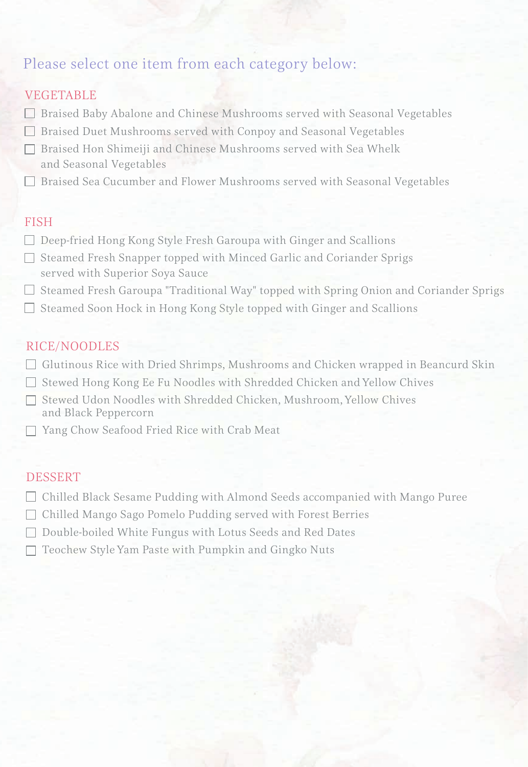#### Please select one item from each category below:

#### VEGETABLE

- Braised Baby Abalone and Chinese Mushrooms served with Seasonal Vegetables
- □ Braised Duet Mushrooms served with Conpoy and Seasonal Vegetables
- Braised Hon Shimeiji and Chinese Mushrooms served with Sea Whelk and Seasonal Vegetables
- Braised Sea Cucumber and Flower Mushrooms served with Seasonal Vegetables

#### FISH

- $\Box$  Deep-fried Hong Kong Style Fresh Garoupa with Ginger and Scallions
- $\Box$  Steamed Fresh Snapper topped with Minced Garlic and Coriander Sprigs served with Superior Soya Sauce
- $\square$  Steamed Fresh Garoupa "Traditional Way" topped with Spring Onion and Coriander Sprigs
- $\Box$  Steamed Soon Hock in Hong Kong Style topped with Ginger and Scallions

#### RICE/NOODLES

- $\Box$  Glutinous Rice with Dried Shrimps, Mushrooms and Chicken wrapped in Beancurd Skin
- Stewed Hong Kong Ee Fu Noodles with Shredded Chicken and Yellow Chives
- □ Stewed Udon Noodles with Shredded Chicken, Mushroom, Yellow Chives and Black Peppercorn
- □ Yang Chow Seafood Fried Rice with Crab Meat

#### DESSERT

- $\Box$  Chilled Black Sesame Pudding with Almond Seeds accompanied with Mango Puree
- □ Chilled Mango Sago Pomelo Pudding served with Forest Berries
- $\Box$  Double-boiled White Fungus with Lotus Seeds and Red Dates
- $\Box$  Teochew Style Yam Paste with Pumpkin and Gingko Nuts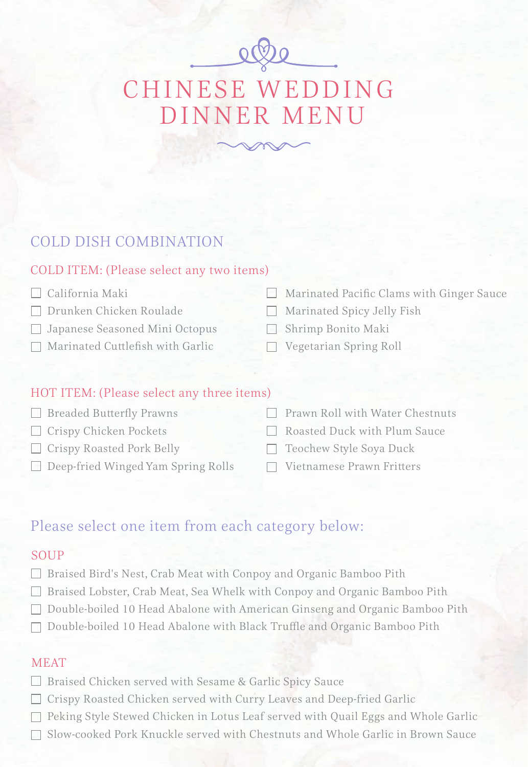# CHINESE WEDDING DINNER MENU

#### COLD DISH COMBINATION

#### COLD ITEM: (Please select any two items)

- California Maki
- Drunken Chicken Roulade
- Japanese Seasoned Mini Octopus
- $\Box$  Marinated Cuttlefish with Garlic
- Marinated Pacific Clams with Ginger Sauce
- Marinated Spicy Jelly Fish
- Shrimp Bonito Maki
- Vegetarian Spring Roll

#### HOT ITEM: (Please select any three items)

| <b>Breaded Butterfly Prawns</b>    | $\Box$ Prawn Roll with Water Chestnuts |
|------------------------------------|----------------------------------------|
| $\Box$ Crispy Chicken Pockets      | Roasted Duck with Plum Sauce           |
| $\Box$ Crispy Roasted Pork Belly   | $\Box$ Teochew Style Soya Duck         |
| Deep-fried Winged Yam Spring Rolls | $\Box$ Vietnamese Prawn Fritters       |

#### Please select one item from each category below:

#### **SOUP**

- □ Braised Bird's Nest, Crab Meat with Conpoy and Organic Bamboo Pith
- Braised Lobster, Crab Meat, Sea Whelk with Conpoy and Organic Bamboo Pith
- □ Double-boiled 10 Head Abalone with American Ginseng and Organic Bamboo Pith
- $\Box$  Double-boiled 10 Head Abalone with Black Truffle and Organic Bamboo Pith

#### **MEAT**

- □ Braised Chicken served with Sesame & Garlic Spicy Sauce
- Crispy Roasted Chicken served with Curry Leaves and Deep-fried Garlic
- $\Box$  Peking Style Stewed Chicken in Lotus Leaf served with Quail Eggs and Whole Garlic
- Slow-cooked Pork Knuckle served with Chestnuts and Whole Garlic in Brown Sauce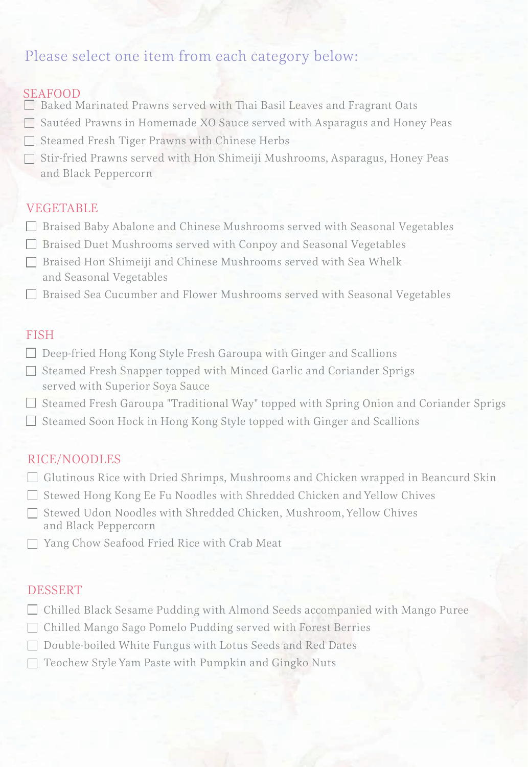#### Please select one item from each category below:

#### SEAFOOD

- $\Box$  Baked Marinated Prawns served with Thai Basil Leaves and Fragrant Oats
- Sautéed Prawns in Homemade XO Sauce served with Asparagus and Honey Peas
- $\Box$  Steamed Fresh Tiger Prawns with Chinese Herbs
- $\Box$  Stir-fried Prawns served with Hon Shimeiji Mushrooms, Asparagus, Honey Peas and Black Peppercorn

#### VEGETABLE

- Braised Baby Abalone and Chinese Mushrooms served with Seasonal Vegetables
- Braised Duet Mushrooms served with Conpoy and Seasonal Vegetables
- Braised Hon Shimeiji and Chinese Mushrooms served with Sea Whelk and Seasonal Vegetables
- Braised Sea Cucumber and Flower Mushrooms served with Seasonal Vegetables

#### FISH

- $\Box$  Deep-fried Hong Kong Style Fresh Garoupa with Ginger and Scallions
- $\Box$  Steamed Fresh Snapper topped with Minced Garlic and Coriander Sprigs served with Superior Soya Sauce
- $\square$  Steamed Fresh Garoupa "Traditional Way" topped with Spring Onion and Coriander Sprigs
- $\Box$  Steamed Soon Hock in Hong Kong Style topped with Ginger and Scallions

#### RICE/NOODLES

- $\Box$  Glutinous Rice with Dried Shrimps, Mushrooms and Chicken wrapped in Beancurd Skin
- $\Box$  Stewed Hong Kong Ee Fu Noodles with Shredded Chicken and Yellow Chives
- □ Stewed Udon Noodles with Shredded Chicken, Mushroom, Yellow Chives and Black Peppercorn
- Yang Chow Seafood Fried Rice with Crab Meat

#### DESSERT

- Chilled Black Sesame Pudding with Almond Seeds accompanied with Mango Puree
- Chilled Mango Sago Pomelo Pudding served with Forest Berries
- □ Double-boiled White Fungus with Lotus Seeds and Red Dates
- $\Box$  Teochew Style Yam Paste with Pumpkin and Gingko Nuts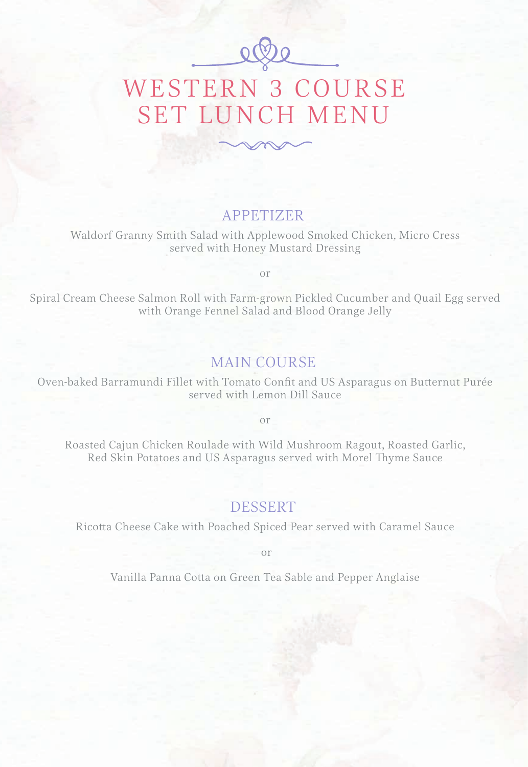

## WESTERN 3 COURSE SET LUNCH MENU

#### APPETIZER

Waldorf Granny Smith Salad with Applewood Smoked Chicken, Micro Cress served with Honey Mustard Dressing

or

Spiral Cream Cheese Salmon Roll with Farm-grown Pickled Cucumber and Quail Egg served with Orange Fennel Salad and Blood Orange Jelly

#### MAIN COURSE

Oven-baked Barramundi Fillet with Tomato Confit and US Asparagus on Butternut Purée served with Lemon Dill Sauce

or

Roasted Cajun Chicken Roulade with Wild Mushroom Ragout, Roasted Garlic, Red Skin Potatoes and US Asparagus served with Morel Thyme Sauce

#### DESSERT

Ricotta Cheese Cake with Poached Spiced Pear served with Caramel Sauce

or

Vanilla Panna Cotta on Green Tea Sable and Pepper Anglaise